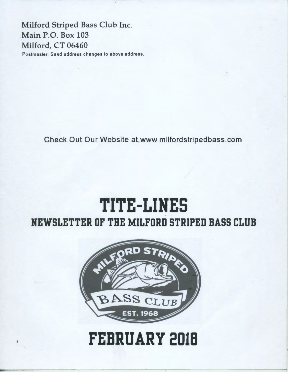Milford Striped Bass Club Inc. Main P.O. Box 103 Milford, CT 06460 Postmaster: Send address changes to above address.

Check Out Our Website at,www milfordstripedbass com

# **TITE-LIHES NEWSLETTER OF THE MILFORD STRIPED BASS CLUB**



# **FEBRUARY 2018**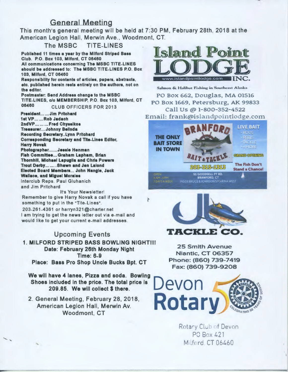### General Meeting

This month's general meeting will be held at 7:30PM, February 28th, 2018 at the American Legion Hall, Merwin Ave ., Woodmont, CT.

#### The MSBC TITE-LINES Island Point Published 11 times a year by the Milford Striped Bass LODGE<br>Www.islandpointlodge.com Club. P.O. Box 103, Milford, CT 06460 All communications concerning The MSBC TITE-LINES should be addressed to: The MSBC TITE-LINES P.O. Box 103, Milford, CT 06460 www.islandpointlodge.com Responsibility for contents of articles, papers, abstracts, etc. published herein rests entirely on the authors, not on Salmon & Halibut Fishing in Southeast Alaska the editor. Postmaster: Send Address change to the MSBC PO Box 662. Douglas, MA 01516 TITE-LINES, c/o MEMBERSHIP, P.O. Box 103, Milford, CT PO Box 1669, Petersburg, AK 99833 06460 CLUB OFFICERS FOR 2013 Call Us @ 1-800-352-4522 President... ... Jim Pritchard Email: frank@islandpointlodge.com 1at VP ...... Rob Jadach 2ndVP......... Fred Chyssikos **LIVE BAIT** Treasurer....Johnny Belinda · RODS Recording Secretary..Lynn Pritchard **THE ONLY** пs Correapondlng Secretary and Tlte-Linea Editor, **BAIT STORE** ದನ⊥ಕ Harry Novak **IN TOWN** Photographer.......Jessie Henman Flah Committee ... Graham Lapham, Brian **GRAND OPENING** Thornhill, Michael Lapuglla and Chrla Powera The Fish Don't

Trout Derby ........ Shawn and Jen Lalond Elected Board Members... John Nangle, Jack Wallace, and Miguel Morales lnterclub Reps. Paul Gluhanich

and Jim Pritchard

It's Your Newsletter! Remember to give Harry Novak a call if you have something to put in the "Tite-Lines".

203-261-4361 or harryn321 @charter. net I am trying to get the news letter out via e-mail and would like to get your current e-mail addresses .

### Upcoming Events

1. MILFORD STRIPED BASS BOWLING NIGHTIIII Date: February 26th Monday Night 25 Smith Avenue Time: 6-9 Place: Bass Pro Shop Uncle Bucks Bpt. CT

We will have 4 lanes, Pizza and soda. Bowling Shoes included in the price. The total price is 209.85. We will collect \$ there.

2. General Meeting, February 28, 2018, American Legion Hall, Merwin Av. Woodmont, CT

-315-1313 203 Stand a Chance! OPr'J 51 GOODSELL PT RD. A , ;;~ • ov BRANFORD, CT <sup>~</sup> INSIDE BRUCE & JOHNSON'S MARINA WEST

> Niantic, CT 06357 Phone: (860) 739-7419 Fax: (860) 739-9208



**Rotary Club of Devon** PO Box 421 Mi.ford, CT 06460

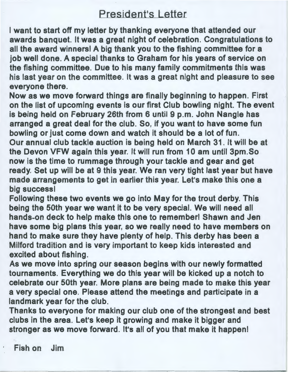## President's Letter

I want to start off my letter by thanking everyone that attended our awards banquet. It was a great night of celebration. Congratulations to all the award winnersl A big thank you to the fishing committee for a job well done. A special thanks to Graham for his years of service on the fishing committee. Due to his many family commitments this was his last year on the committee. It was a great night and pleasure to see everyone there.

Now as we move forward things are finally beginning to happen. First on the list of upcoming events is our first Club bowling night. The event is being held on February 26th from 6 until 9 p.m. John Nangle has arranged a great deal for the club. So, if you want to have some fun bowling or just come down and watch it should be a lot of fun. Our annual club tackle auction is being held on March 31. It will be at the Devon VFW again this year. It will run from 10 am until 3pm.So now is the time to rummage through your tackle and gear and get ready. Set up will be at 9 this year. We ran very tight last year but have made arrangements to get in earlier this year. Let's make this one a big successl

Following these two events we go into May for the trout derby. This being the 50th year we want it to be very special. We will need all hands-on deck to help make this one to remember! Shawn and Jen have some big plans this year, so we really need to have members on hand to make sure they have plenty of help. This derby has been a Milford tradition and is very important to keep kids interested and excited about fishing.

As we move into spring our season begins with our newly formatted tournaments. Everything we do this year will be kicked up a notch to celebrate our 50th year. More plans are being made to make this year a very special one. Please attend the meetings and participate in a landmark year for the club.

Thanks to everyone for making our club one of the strongest and best clubs in the area. Let's keep it growing and make it bigger and stronger as we move forward. It's all of you that make it happen!

Fish on Jim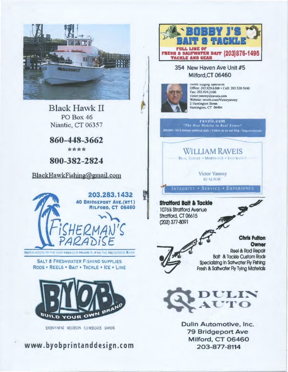

**Black Hawk II PO Box 46** Niantic, CT 06357

860-448-3662 \*\*\*\*

800-382-2824

BlackHawkFishing@gmail.com



**WATER AD** IS TO THE SHOP FROM GUR PRIVATE SLIP ON THE HOUSATONIC RIVER

**SALT & FRESHWATER FISHING SUPPLIES** RODS . REELS . BAIT . TACKLE . ICE . LINE



KRENARYTNG WEBDESCH EUSNESCHES BANKES

www.byobprintanddesign.com



### 354 New Haven Ave Unit #5 Milford, CT 06460



nome staging specialist<br>Office: 203.929.6388 • Cell: 203.520.5690 Fax: 203.929.3100 victor.yanosy@raveis.com Website: raveis.com/Victoryanosy 2 Huntington Street Huntington, CT 06484

#### raveis.com "The Best Website in Real Estate" 300,000+ MLS listings updated daily . Follow us on our blog - blog.raveis.co

WILLIAM RAVEIS REAL ESTATE . MORTGAGE . INSURANCE

**Victor Yanosy REALTOR INTEGRITY . SERVICE . EXPERIENCE Stratford Balt & Tackle** 1076% Stratford Avenue Stratford, CT 06615

 $(203)$  377-8091





**Reel & Rod Repair Balt & Tackle Custom Rods** Specializing in Saltwater Fly Fishing Fresh & Saltwater Fly Tying Materials



**Dulin Automotive, Inc. 79 Bridgeport Ave** Milford, CT 06460 203-877-8114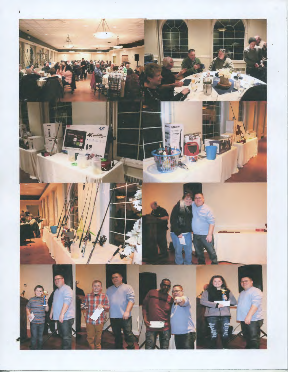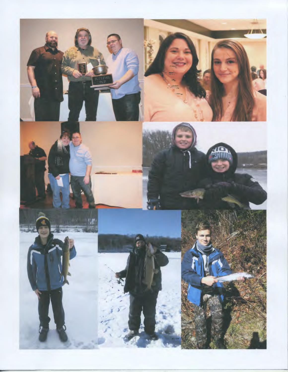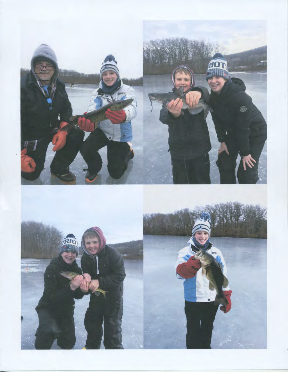